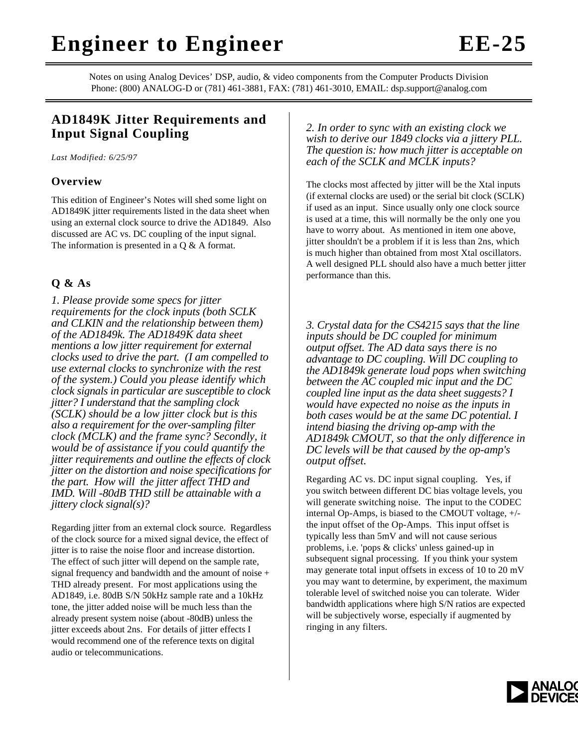## **Engineer to Engineer EE-25**

Notes on using Analog Devices' DSP, audio, & video components from the Computer Products Division Phone: (800) ANALOG-D or (781) 461-3881, FAX: (781) 461-3010, EMAIL: dsp.support@analog.com

## **AD1849K Jitter Requirements and Input Signal Coupling**

*Last Modified: 6/25/97*

## **Overview**

This edition of Engineer's Notes will shed some light on AD1849K jitter requirements listed in the data sheet when using an external clock source to drive the AD1849. Also discussed are AC vs. DC coupling of the input signal. The information is presented in a Q & A format.

## **Q & As**

*1. Please provide some specs for jitter requirements for the clock inputs (both SCLK and CLKIN and the relationship between them) of the AD1849k. The AD1849K data sheet mentions a low jitter requirement for external clocks used to drive the part. (I am compelled to use external clocks to synchronize with the rest of the system.) Could you please identify which clock signals in particular are susceptible to clock jitter? I understand that the sampling clock (SCLK) should be a low jitter clock but is this also a requirement for the over-sampling filter clock (MCLK) and the frame sync? Secondly, it would be of assistance if you could quantify the jitter requirements and outline the effects of clock jitter on the distortion and noise specifications for the part. How will the jitter affect THD and IMD. Will -80dB THD still be attainable with a jittery clock signal(s)?*

Regarding jitter from an external clock source. Regardless of the clock source for a mixed signal device, the effect of jitter is to raise the noise floor and increase distortion. The effect of such jitter will depend on the sample rate, signal frequency and bandwidth and the amount of noise + THD already present. For most applications using the AD1849, i.e. 80dB S/N 50kHz sample rate and a 10kHz tone, the jitter added noise will be much less than the already present system noise (about -80dB) unless the jitter exceeds about 2ns. For details of jitter effects I would recommend one of the reference texts on digital audio or telecommunications.

*2. In order to sync with an existing clock we wish to derive our 1849 clocks via a jittery PLL. The question is: how much jitter is acceptable on each of the SCLK and MCLK inputs?*

The clocks most affected by jitter will be the Xtal inputs (if external clocks are used) or the serial bit clock (SCLK) if used as an input. Since usually only one clock source is used at a time, this will normally be the only one you have to worry about. As mentioned in item one above, jitter shouldn't be a problem if it is less than 2ns, which is much higher than obtained from most Xtal oscillators. A well designed PLL should also have a much better jitter performance than this.

*3. Crystal data for the CS4215 says that the line inputs should be DC coupled for minimum output offset. The AD data says there is no advantage to DC coupling. Will DC coupling to the AD1849k generate loud pops when switching between the AC coupled mic input and the DC coupled line input as the data sheet suggests? I would have expected no noise as the inputs in both cases would be at the same DC potential. I intend biasing the driving op-amp with the AD1849k CMOUT, so that the only difference in DC levels will be that caused by the op-amp's output offset.*

Regarding AC vs. DC input signal coupling. Yes, if you switch between different DC bias voltage levels, you will generate switching noise. The input to the CODEC internal Op-Amps, is biased to the CMOUT voltage, +/ the input offset of the Op-Amps. This input offset is typically less than 5mV and will not cause serious problems, i.e. 'pops & clicks' unless gained-up in subsequent signal processing. If you think your system may generate total input offsets in excess of 10 to 20 mV you may want to determine, by experiment, the maximum tolerable level of switched noise you can tolerate. Wider bandwidth applications where high S/N ratios are expected will be subjectively worse, especially if augmented by ringing in any filters.